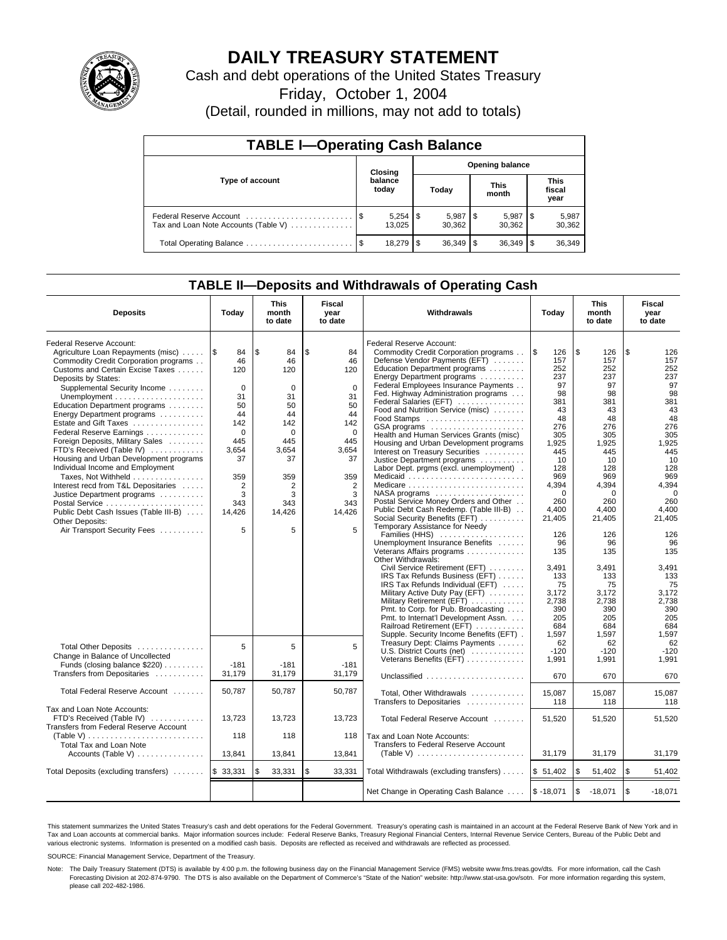

## **DAILY TREASURY STATEMENT**

Cash and debt operations of the United States Treasury

Friday, October 1, 2004

(Detail, rounded in millions, may not add to totals)

| <b>TABLE I-Operating Cash Balance</b>                           |      |                             |    |                        |  |                      |  |                               |
|-----------------------------------------------------------------|------|-----------------------------|----|------------------------|--|----------------------|--|-------------------------------|
| Type of account                                                 |      | Closing<br>balance<br>today |    | <b>Opening balance</b> |  |                      |  |                               |
|                                                                 |      |                             |    | Today                  |  | <b>This</b><br>month |  | <b>This</b><br>fiscal<br>year |
| Federal Reserve Account<br>Tax and Loan Note Accounts (Table V) |      | 13.025                      |    | 30,362                 |  | 5,987<br>30,362      |  | 5,987<br>30,362               |
| Total Operating Balance                                         | - \$ | 18.279                      | £. | $36,349$ \$            |  | 36,349               |  | 36,349                        |

## **TABLE II—Deposits and Withdrawals of Operating Cash**

| <b>Deposits</b>                                                                                                                                                                                                                                                                                                                                                                                                                                                                                                                                                                                                                                               | Today                                                                                                                                | <b>This</b><br>month<br>to date                                                                                                          | Fiscal<br>year<br>to date                                                                                                                        | Withdrawals                                                                                                                                                                                                                                                                                                                                                                                                                                                                                                                                                                                                                                                                                                                                                                                                                                                                                                                                                                                                                                                                                                                                                                                                    | Today                                                                                                                                                                                                                                                      | <b>This</b><br>month<br>to date                                                                                                                                                                                                                          | Fiscal<br>year<br>to date                                                                                                                                                                                                                                |
|---------------------------------------------------------------------------------------------------------------------------------------------------------------------------------------------------------------------------------------------------------------------------------------------------------------------------------------------------------------------------------------------------------------------------------------------------------------------------------------------------------------------------------------------------------------------------------------------------------------------------------------------------------------|--------------------------------------------------------------------------------------------------------------------------------------|------------------------------------------------------------------------------------------------------------------------------------------|--------------------------------------------------------------------------------------------------------------------------------------------------|----------------------------------------------------------------------------------------------------------------------------------------------------------------------------------------------------------------------------------------------------------------------------------------------------------------------------------------------------------------------------------------------------------------------------------------------------------------------------------------------------------------------------------------------------------------------------------------------------------------------------------------------------------------------------------------------------------------------------------------------------------------------------------------------------------------------------------------------------------------------------------------------------------------------------------------------------------------------------------------------------------------------------------------------------------------------------------------------------------------------------------------------------------------------------------------------------------------|------------------------------------------------------------------------------------------------------------------------------------------------------------------------------------------------------------------------------------------------------------|----------------------------------------------------------------------------------------------------------------------------------------------------------------------------------------------------------------------------------------------------------|----------------------------------------------------------------------------------------------------------------------------------------------------------------------------------------------------------------------------------------------------------|
| Federal Reserve Account:<br>Agriculture Loan Repayments (misc)<br>Commodity Credit Corporation programs<br>Customs and Certain Excise Taxes<br>Deposits by States:<br>Supplemental Security Income<br>Education Department programs<br>Energy Department programs<br>Estate and Gift Taxes<br>Federal Reserve Earnings<br>Foreign Deposits, Military Sales<br>FTD's Received (Table IV)<br>Housing and Urban Development programs<br>Individual Income and Employment<br>Taxes, Not Withheld<br>Interest recd from T&L Depositaries<br>Justice Department programs<br>Public Debt Cash Issues (Table III-B)<br>Other Deposits:<br>Air Transport Security Fees | l\$<br>84<br>46<br>120<br>$\Omega$<br>31<br>50<br>44<br>142<br>$\Omega$<br>445<br>3,654<br>37<br>359<br>2<br>3<br>343<br>14,426<br>5 | l \$<br>84<br>46<br>120<br>$\mathbf 0$<br>31<br>50<br>44<br>142<br>$\Omega$<br>445<br>3,654<br>37<br>359<br>2<br>3<br>343<br>14,426<br>5 | \$<br>84<br>46<br>120<br>$\Omega$<br>31<br>50<br>44<br>142<br>$\Omega$<br>445<br>3,654<br>37<br>359<br>$\overline{2}$<br>3<br>343<br>14,426<br>5 | Federal Reserve Account:<br>Commodity Credit Corporation programs<br>Defense Vendor Payments (EFT)<br>Education Department programs<br>Energy Department programs<br>Federal Employees Insurance Payments<br>Fed. Highway Administration programs<br>Federal Salaries (EFT)<br>Food and Nutrition Service (misc)<br>GSA programs<br>Health and Human Services Grants (misc)<br>Housing and Urban Development programs<br>Interest on Treasury Securities<br>Justice Department programs<br>Labor Dept. prgms (excl. unemployment).<br>Medicaid<br>Medicare<br>NASA programs $\dots\dots\dots\dots\dots\dots\dots$<br>Postal Service Money Orders and Other<br>Public Debt Cash Redemp. (Table III-B)<br>Social Security Benefits (EFT)<br>Temporary Assistance for Needy<br>Families (HHS)<br>Unemployment Insurance Benefits<br>Veterans Affairs programs<br>Other Withdrawals:<br>Civil Service Retirement (EFT)<br>IRS Tax Refunds Business (EFT)<br>IRS Tax Refunds Individual (EFT)<br>Military Active Duty Pay (EFT)<br>Military Retirement (EFT)<br>Pmt. to Corp. for Pub. Broadcasting<br>Pmt. to Internat'l Development Assn.<br>Railroad Retirement (EFT)<br>Supple. Security Income Benefits (EFT). | l \$<br>126<br>157<br>252<br>237<br>97<br>98<br>381<br>43<br>48<br>276<br>305<br>1,925<br>445<br>10<br>128<br>969<br>4,394<br>$\Omega$<br>260<br>4.400<br>21,405<br>126<br>96<br>135<br>3,491<br>133<br>75<br>3.172<br>2,738<br>390<br>205<br>684<br>1.597 | \$<br>126<br>157<br>252<br>237<br>97<br>98<br>381<br>43<br>48<br>276<br>305<br>1,925<br>445<br>10<br>128<br>969<br>4,394<br>$\Omega$<br>260<br>4.400<br>21,405<br>126<br>96<br>135<br>3,491<br>133<br>75<br>3.172<br>2,738<br>390<br>205<br>684<br>1.597 | \$<br>126<br>157<br>252<br>237<br>97<br>98<br>381<br>43<br>48<br>276<br>305<br>1,925<br>445<br>10<br>128<br>969<br>4,394<br>$\Omega$<br>260<br>4.400<br>21,405<br>126<br>96<br>135<br>3,491<br>133<br>75<br>3.172<br>2,738<br>390<br>205<br>684<br>1.597 |
| Total Other Deposits<br>Change in Balance of Uncollected<br>Funds (closing balance $$220$ )<br>Transfers from Depositaries                                                                                                                                                                                                                                                                                                                                                                                                                                                                                                                                    | 5<br>$-181$<br>31,179                                                                                                                | 5<br>$-181$<br>31,179                                                                                                                    | 5<br>$-181$<br>31.179                                                                                                                            | Treasury Dept: Claims Payments<br>U.S. District Courts (net)<br>Veterans Benefits (EFT)<br>Unclassified                                                                                                                                                                                                                                                                                                                                                                                                                                                                                                                                                                                                                                                                                                                                                                                                                                                                                                                                                                                                                                                                                                        | 62<br>$-120$<br>1,991<br>670                                                                                                                                                                                                                               | 62<br>$-120$<br>1,991<br>670                                                                                                                                                                                                                             | 62<br>$-120$<br>1,991<br>670                                                                                                                                                                                                                             |
| Total Federal Reserve Account                                                                                                                                                                                                                                                                                                                                                                                                                                                                                                                                                                                                                                 | 50,787                                                                                                                               | 50,787                                                                                                                                   | 50,787                                                                                                                                           | Total, Other Withdrawals                                                                                                                                                                                                                                                                                                                                                                                                                                                                                                                                                                                                                                                                                                                                                                                                                                                                                                                                                                                                                                                                                                                                                                                       | 15,087                                                                                                                                                                                                                                                     | 15,087                                                                                                                                                                                                                                                   | 15,087                                                                                                                                                                                                                                                   |
| Tax and Loan Note Accounts:<br>FTD's Received (Table IV)<br>Transfers from Federal Reserve Account<br>Total Tax and Loan Note<br>Accounts (Table V)                                                                                                                                                                                                                                                                                                                                                                                                                                                                                                           | 13,723<br>118<br>13,841                                                                                                              | 13,723<br>118<br>13,841                                                                                                                  | 13,723<br>118<br>13,841                                                                                                                          | Transfers to Depositaries<br>Total Federal Reserve Account<br>Tax and Loan Note Accounts:<br>Transfers to Federal Reserve Account<br>(Table V) $\ldots \ldots \ldots \ldots \ldots \ldots \ldots$                                                                                                                                                                                                                                                                                                                                                                                                                                                                                                                                                                                                                                                                                                                                                                                                                                                                                                                                                                                                              | 118<br>51,520<br>31,179                                                                                                                                                                                                                                    | 118<br>51,520<br>31,179                                                                                                                                                                                                                                  | 118<br>51,520<br>31,179                                                                                                                                                                                                                                  |
| Total Deposits (excluding transfers)                                                                                                                                                                                                                                                                                                                                                                                                                                                                                                                                                                                                                          | \$33,331                                                                                                                             | \$<br>33,331                                                                                                                             | \$<br>33,331                                                                                                                                     | Total Withdrawals (excluding transfers)                                                                                                                                                                                                                                                                                                                                                                                                                                                                                                                                                                                                                                                                                                                                                                                                                                                                                                                                                                                                                                                                                                                                                                        | \$51,402                                                                                                                                                                                                                                                   | \$<br>51,402                                                                                                                                                                                                                                             | l \$<br>51,402                                                                                                                                                                                                                                           |
|                                                                                                                                                                                                                                                                                                                                                                                                                                                                                                                                                                                                                                                               |                                                                                                                                      |                                                                                                                                          |                                                                                                                                                  | Net Change in Operating Cash Balance                                                                                                                                                                                                                                                                                                                                                                                                                                                                                                                                                                                                                                                                                                                                                                                                                                                                                                                                                                                                                                                                                                                                                                           | $$ -18,071$                                                                                                                                                                                                                                                | \$<br>$-18,071$                                                                                                                                                                                                                                          | \$<br>$-18,071$                                                                                                                                                                                                                                          |

This statement summarizes the United States Treasury's cash and debt operations for the Federal Government. Treasury's operating cash is maintained in an account at the Federal Reserve Bank of New York and in Tax and Loan accounts at commercial banks. Major information sources include: Federal Reserve Banks, Treasury Regional Financial Centers, Internal Revenue Service Centers, Bureau of the Public Debt and<br>various electronic s

SOURCE: Financial Management Service, Department of the Treasury.

Note: The Daily Treasury Statement (DTS) is available by 4:00 p.m. the following business day on the Financial Management Service (FMS) website www.fms.treas.gov/dts. For more information, call the Cash Forecasting Division at 202-874-9790. The DTS is also available on the Department of Commerce's "State of the Nation" website: http://www.stat-usa.gov/sotn. For more information regarding this system, please call 202-482-1986.